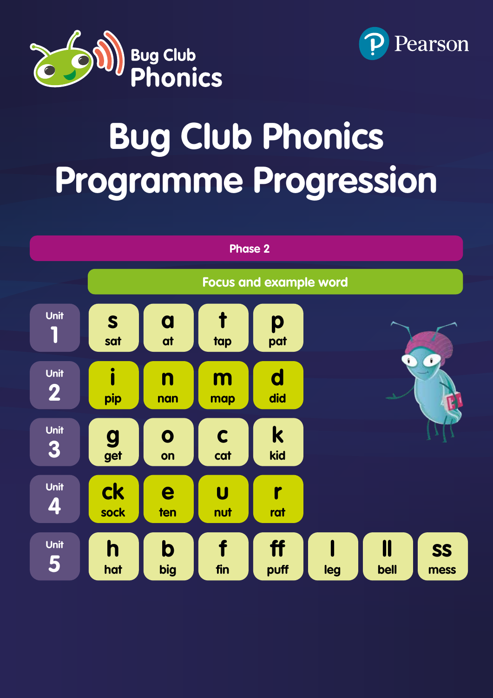



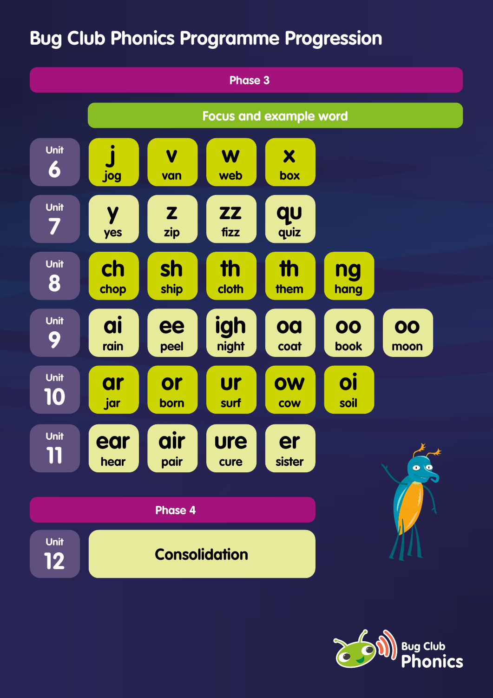

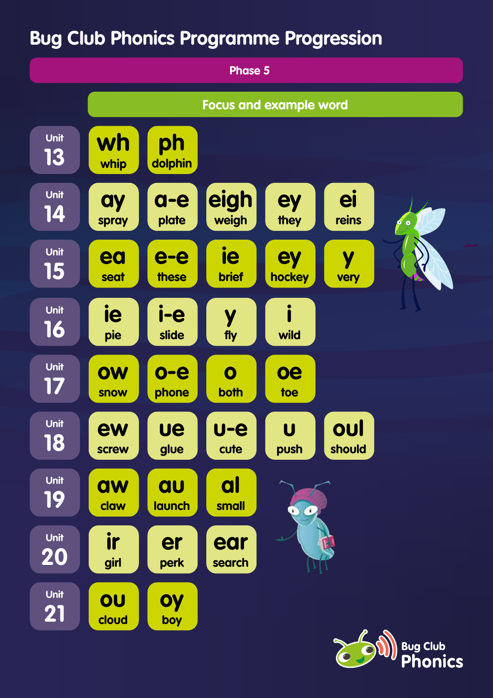